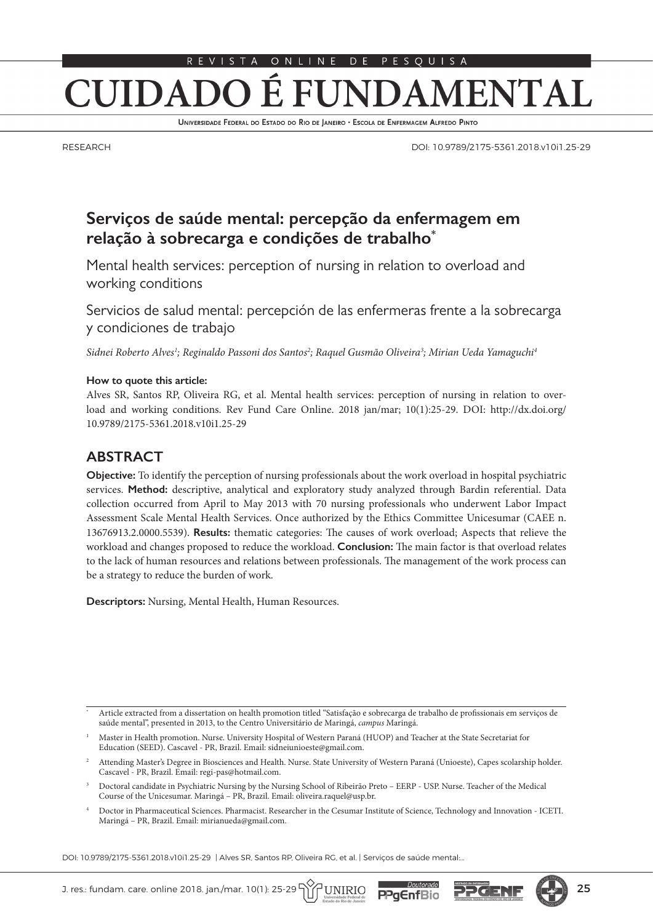#### É l DAMENTAL **CUIDADO** FUNI

UNIVERSIDADE FEDERAL DO ESTADO DO RIO DE JANEIRO · ESCOLA DE ENFERMAGEM ALFREDO PINTO

RESEARCH

DOI: 10.9789/2175-5361.2018.v10i1.25-29

# **Serviços de saúde mental: percepção da enfermagem em relação à sobrecarga e condições de trabalho\***

Mental health services: perception of nursing in relation to overload and working conditions

Servicios de salud mental: percepción de las enfermeras frente a la sobrecarga y condiciones de trabajo

*Sidnei Roberto Alves1 ; Reginaldo Passoni dos Santos2 ; Raquel Gusmão Oliveira3 ; Mirian Ueda Yamaguchi4*

#### **How to quote this article:**

Alves SR, Santos RP, Oliveira RG, et al. Mental health services: perception of nursing in relation to overload and working conditions. Rev Fund Care Online. 2018 jan/mar; 10(1):25-29. DOI: http://dx.doi.org/ 10.9789/2175-5361.2018.v10i1.25-29

### **ABSTRACT**

**Objective:** To identify the perception of nursing professionals about the work overload in hospital psychiatric services. **Method:** descriptive, analytical and exploratory study analyzed through Bardin referential. Data collection occurred from April to May 2013 with 70 nursing professionals who underwent Labor Impact Assessment Scale Mental Health Services. Once authorized by the Ethics Committee Unicesumar (CAEE n. 13676913.2.0000.5539). **Results:** thematic categories: The causes of work overload; Aspects that relieve the workload and changes proposed to reduce the workload. **Conclusion:** The main factor is that overload relates to the lack of human resources and relations between professionals. The management of the work process can be a strategy to reduce the burden of work.

**Descriptors:** Nursing, Mental Health, Human Resources.

<sup>4</sup> Doctor in Pharmaceutical Sciences. Pharmacist. Researcher in the Cesumar Institute of Science, Technology and Innovation - ICETI. Maringá – PR, Brazil. Email: mirianueda@gmail.com.

DOI: 10.9789/2175-5361.2018.v10i1.25-29 | Alves SR, Santos RP, Oliveira RG, et al. | Serviços de saúde mental:..

<sup>\*</sup> Article extracted from a dissertation on health promotion titled "Satisfação e sobrecarga de trabalho de profissionais em serviços de saúde mental", presented in 2013, to the Centro Universitário de Maringá, *campus* Maringá.

<sup>1</sup> Master in Health promotion. Nurse. University Hospital of Western Paraná (HUOP) and Teacher at the State Secretariat for Education (SEED). Cascavel - PR, Brazil. Email: sidneiunioeste@gmail.com.

<sup>2</sup> Attending Master's Degree in Biosciences and Health. Nurse. State University of Western Paraná (Unioeste), Capes scolarship holder. Cascavel - PR, Brazil. Email: regi-pas@hotmail.com.

<sup>3</sup> Doctoral candidate in Psychiatric Nursing by the Nursing School of Ribeirão Preto – EERP - USP. Nurse. Teacher of the Medical Course of the Unicesumar. Maringá – PR, Brazil. Email: oliveira.raquel@usp.br.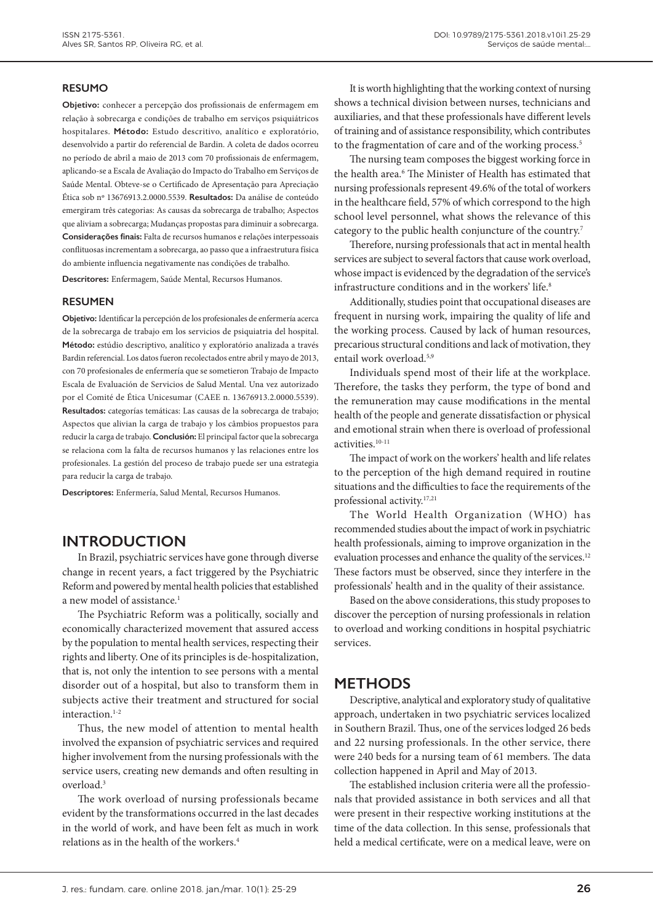### **RESUMO**

**Objetivo:** conhecer a percepção dos profissionais de enfermagem em relação à sobrecarga e condições de trabalho em serviços psiquiátricos hospitalares. **Método:** Estudo descritivo, analítico e exploratório, desenvolvido a partir do referencial de Bardin. A coleta de dados ocorreu no período de abril a maio de 2013 com 70 profissionais de enfermagem, aplicando-se a Escala de Avaliação do Impacto do Trabalho em Serviços de Saúde Mental. Obteve-se o Certificado de Apresentação para Apreciação Ética sob nº 13676913.2.0000.5539. **Resultados:** Da análise de conteúdo emergiram três categorias: As causas da sobrecarga de trabalho; Aspectos que aliviam a sobrecarga; Mudanças propostas para diminuir a sobrecarga. **Considerações finais:** Falta de recursos humanos e relações interpessoais conflituosas incrementam a sobrecarga, ao passo que a infraestrutura física do ambiente influencia negativamente nas condições de trabalho.

**Descritores:** Enfermagem, Saúde Mental, Recursos Humanos.

### **RESUMEN**

**Objetivo:** Identificar la percepción de los profesionales de enfermería acerca de la sobrecarga de trabajo em los servicios de psiquiatria del hospital. **Método:** estúdio descriptivo, analítico y exploratório analizada a través Bardin referencial. Los datos fueron recolectados entre abril y mayo de 2013, con 70 profesionales de enfermería que se sometieron Trabajo de Impacto Escala de Evaluación de Servicios de Salud Mental. Una vez autorizado por el Comité de Ética Unicesumar (CAEE n. 13676913.2.0000.5539). **Resultados:** categorías temáticas: Las causas de la sobrecarga de trabajo; Aspectos que alivian la carga de trabajo y los câmbios propuestos para reducir la carga de trabajo. **Conclusión:** El principal factor que la sobrecarga se relaciona com la falta de recursos humanos y las relaciones entre los profesionales. La gestión del proceso de trabajo puede ser una estrategia para reducir la carga de trabajo.

**Descriptores:** Enfermería, Salud Mental, Recursos Humanos.

## **INTRODUCTION**

In Brazil, psychiatric services have gone through diverse change in recent years, a fact triggered by the Psychiatric Reform and powered by mental health policies that established a new model of assistance.<sup>1</sup>

The Psychiatric Reform was a politically, socially and economically characterized movement that assured access by the population to mental health services, respecting their rights and liberty. One of its principles is de-hospitalization, that is, not only the intention to see persons with a mental disorder out of a hospital, but also to transform them in subjects active their treatment and structured for social interaction.<sup>1-2</sup>

Thus, the new model of attention to mental health involved the expansion of psychiatric services and required higher involvement from the nursing professionals with the service users, creating new demands and often resulting in overload.3

The work overload of nursing professionals became evident by the transformations occurred in the last decades in the world of work, and have been felt as much in work relations as in the health of the workers.4

It is worth highlighting that the working context of nursing shows a technical division between nurses, technicians and auxiliaries, and that these professionals have different levels of training and of assistance responsibility, which contributes to the fragmentation of care and of the working process.<sup>5</sup>

The nursing team composes the biggest working force in the health area.<sup>6</sup> The Minister of Health has estimated that nursing professionals represent 49.6% of the total of workers in the healthcare field, 57% of which correspond to the high school level personnel, what shows the relevance of this category to the public health conjuncture of the country.7

Therefore, nursing professionals that act in mental health services are subject to several factors that cause work overload, whose impact is evidenced by the degradation of the service's infrastructure conditions and in the workers' life.<sup>8</sup>

Additionally, studies point that occupational diseases are frequent in nursing work, impairing the quality of life and the working process. Caused by lack of human resources, precarious structural conditions and lack of motivation, they entail work overload.5,9

Individuals spend most of their life at the workplace. Therefore, the tasks they perform, the type of bond and the remuneration may cause modifications in the mental health of the people and generate dissatisfaction or physical and emotional strain when there is overload of professional activities.10-11

The impact of work on the workers' health and life relates to the perception of the high demand required in routine situations and the difficulties to face the requirements of the professional activity.17,21

The World Health Organization (WHO) has recommended studies about the impact of work in psychiatric health professionals, aiming to improve organization in the evaluation processes and enhance the quality of the services.<sup>12</sup> These factors must be observed, since they interfere in the professionals' health and in the quality of their assistance.

Based on the above considerations, this study proposes to discover the perception of nursing professionals in relation to overload and working conditions in hospital psychiatric services.

## **METHODS**

Descriptive, analytical and exploratory study of qualitative approach, undertaken in two psychiatric services localized in Southern Brazil. Thus, one of the services lodged 26 beds and 22 nursing professionals. In the other service, there were 240 beds for a nursing team of 61 members. The data collection happened in April and May of 2013.

The established inclusion criteria were all the professionals that provided assistance in both services and all that were present in their respective working institutions at the time of the data collection. In this sense, professionals that held a medical certificate, were on a medical leave, were on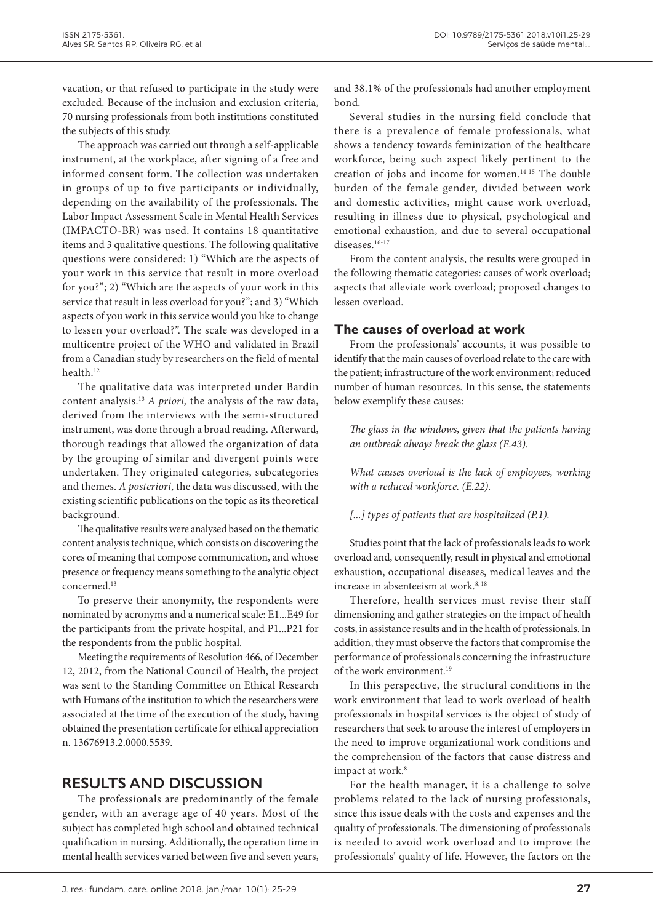vacation, or that refused to participate in the study were excluded. Because of the inclusion and exclusion criteria, 70 nursing professionals from both institutions constituted the subjects of this study.

The approach was carried out through a self-applicable instrument, at the workplace, after signing of a free and informed consent form. The collection was undertaken in groups of up to five participants or individually, depending on the availability of the professionals. The Labor Impact Assessment Scale in Mental Health Services (IMPACTO-BR) was used. It contains 18 quantitative items and 3 qualitative questions. The following qualitative questions were considered: 1) "Which are the aspects of your work in this service that result in more overload for you?"; 2) "Which are the aspects of your work in this service that result in less overload for you?"; and 3) "Which aspects of you work in this service would you like to change to lessen your overload?". The scale was developed in a multicentre project of the WHO and validated in Brazil from a Canadian study by researchers on the field of mental health.<sup>12</sup>

The qualitative data was interpreted under Bardin content analysis.13 *A priori,* the analysis of the raw data, derived from the interviews with the semi-structured instrument, was done through a broad reading. Afterward, thorough readings that allowed the organization of data by the grouping of similar and divergent points were undertaken. They originated categories, subcategories and themes. *A posteriori*, the data was discussed, with the existing scientific publications on the topic as its theoretical background.

The qualitative results were analysed based on the thematic content analysis technique, which consists on discovering the cores of meaning that compose communication, and whose presence or frequency means something to the analytic object concerned.13

To preserve their anonymity, the respondents were nominated by acronyms and a numerical scale: E1...E49 for the participants from the private hospital, and P1...P21 for the respondents from the public hospital.

Meeting the requirements of Resolution 466, of December 12, 2012, from the National Council of Health, the project was sent to the Standing Committee on Ethical Research with Humans of the institution to which the researchers were associated at the time of the execution of the study, having obtained the presentation certificate for ethical appreciation n. 13676913.2.0000.5539.

# **RESULTS AND DISCUSSION**

The professionals are predominantly of the female gender, with an average age of 40 years. Most of the subject has completed high school and obtained technical qualification in nursing. Additionally, the operation time in mental health services varied between five and seven years, and 38.1% of the professionals had another employment bond.

Several studies in the nursing field conclude that there is a prevalence of female professionals, what shows a tendency towards feminization of the healthcare workforce, being such aspect likely pertinent to the creation of jobs and income for women.14-15 The double burden of the female gender, divided between work and domestic activities, might cause work overload, resulting in illness due to physical, psychological and emotional exhaustion, and due to several occupational diseases.<sup>16-17</sup>

From the content analysis, the results were grouped in the following thematic categories: causes of work overload; aspects that alleviate work overload; proposed changes to lessen overload.

## **The causes of overload at work**

From the professionals' accounts, it was possible to identify that the main causes of overload relate to the care with the patient; infrastructure of the work environment; reduced number of human resources. In this sense, the statements below exemplify these causes:

*The glass in the windows, given that the patients having an outbreak always break the glass (E.43).*

*What causes overload is the lack of employees, working with a reduced workforce. (E.22).*

## *[...] types of patients that are hospitalized (P.1).*

Studies point that the lack of professionals leads to work overload and, consequently, result in physical and emotional exhaustion, occupational diseases, medical leaves and the increase in absenteeism at work  $8,18$ 

Therefore, health services must revise their staff dimensioning and gather strategies on the impact of health costs, in assistance results and in the health of professionals. In addition, they must observe the factors that compromise the performance of professionals concerning the infrastructure of the work environment.<sup>19</sup>

In this perspective, the structural conditions in the work environment that lead to work overload of health professionals in hospital services is the object of study of researchers that seek to arouse the interest of employers in the need to improve organizational work conditions and the comprehension of the factors that cause distress and impact at work.<sup>8</sup>

For the health manager, it is a challenge to solve problems related to the lack of nursing professionals, since this issue deals with the costs and expenses and the quality of professionals. The dimensioning of professionals is needed to avoid work overload and to improve the professionals' quality of life. However, the factors on the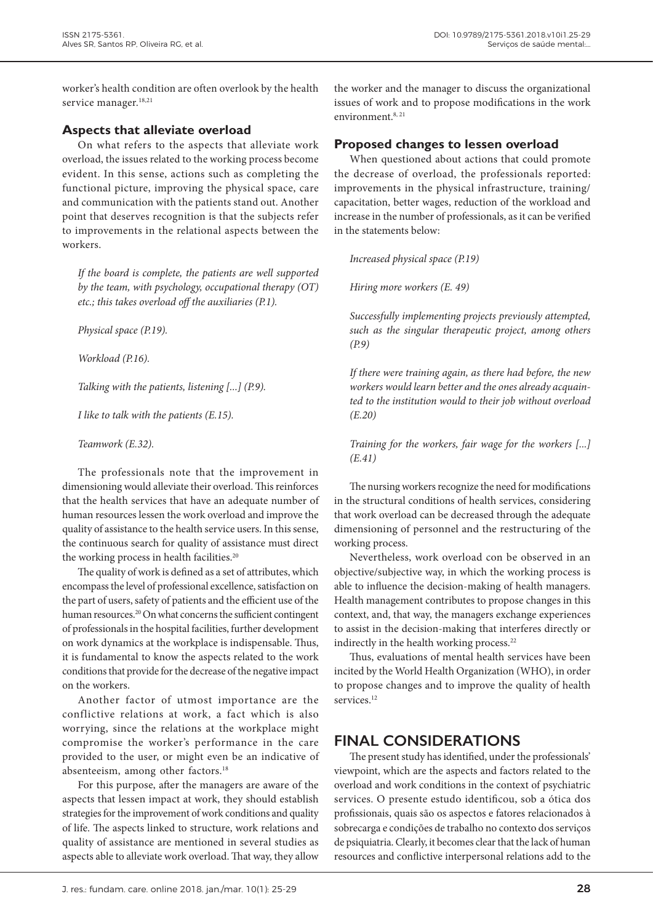worker's health condition are often overlook by the health service manager.<sup>18,21</sup>

## **Aspects that alleviate overload**

On what refers to the aspects that alleviate work overload, the issues related to the working process become evident. In this sense, actions such as completing the functional picture, improving the physical space, care and communication with the patients stand out. Another point that deserves recognition is that the subjects refer to improvements in the relational aspects between the workers.

*If the board is complete, the patients are well supported by the team, with psychology, occupational therapy (OT) etc.; this takes overload off the auxiliaries (P.1).*

*Physical space (P.19).*

*Workload (P.16).*

*Talking with the patients, listening [...] (P.9).*

*I like to talk with the patients (E.15).*

*Teamwork (E.32).*

The professionals note that the improvement in dimensioning would alleviate their overload. This reinforces that the health services that have an adequate number of human resources lessen the work overload and improve the quality of assistance to the health service users. In this sense, the continuous search for quality of assistance must direct the working process in health facilities.<sup>20</sup>

The quality of work is defined as a set of attributes, which encompass the level of professional excellence, satisfaction on the part of users, safety of patients and the efficient use of the human resources.<sup>20</sup> On what concerns the sufficient contingent of professionals in the hospital facilities, further development on work dynamics at the workplace is indispensable. Thus, it is fundamental to know the aspects related to the work conditions that provide for the decrease of the negative impact on the workers.

Another factor of utmost importance are the conflictive relations at work, a fact which is also worrying, since the relations at the workplace might compromise the worker's performance in the care provided to the user, or might even be an indicative of absenteeism, among other factors.<sup>18</sup>

For this purpose, after the managers are aware of the aspects that lessen impact at work, they should establish strategies for the improvement of work conditions and quality of life. The aspects linked to structure, work relations and quality of assistance are mentioned in several studies as aspects able to alleviate work overload. That way, they allow the worker and the manager to discuss the organizational issues of work and to propose modifications in the work environment.8, 21

## **Proposed changes to lessen overload**

When questioned about actions that could promote the decrease of overload, the professionals reported: improvements in the physical infrastructure, training/ capacitation, better wages, reduction of the workload and increase in the number of professionals, as it can be verified in the statements below:

*Increased physical space (P.19)*

*Hiring more workers (E. 49)*

*Successfully implementing projects previously attempted, such as the singular therapeutic project, among others (P.9)*

*If there were training again, as there had before, the new workers would learn better and the ones already acquainted to the institution would to their job without overload (E.20)*

*Training for the workers, fair wage for the workers [...] (E.41)*

The nursing workers recognize the need for modifications in the structural conditions of health services, considering that work overload can be decreased through the adequate dimensioning of personnel and the restructuring of the working process.

Nevertheless, work overload con be observed in an objective/subjective way, in which the working process is able to influence the decision-making of health managers. Health management contributes to propose changes in this context, and, that way, the managers exchange experiences to assist in the decision-making that interferes directly or indirectly in the health working process.<sup>22</sup>

Thus, evaluations of mental health services have been incited by the World Health Organization (WHO), in order to propose changes and to improve the quality of health services.<sup>12</sup>

## **FINAL CONSIDERATIONS**

The present study has identified, under the professionals' viewpoint, which are the aspects and factors related to the overload and work conditions in the context of psychiatric services. O presente estudo identificou, sob a ótica dos profissionais, quais são os aspectos e fatores relacionados à sobrecarga e condições de trabalho no contexto dos serviços de psiquiatria. Clearly, it becomes clear that the lack of human resources and conflictive interpersonal relations add to the